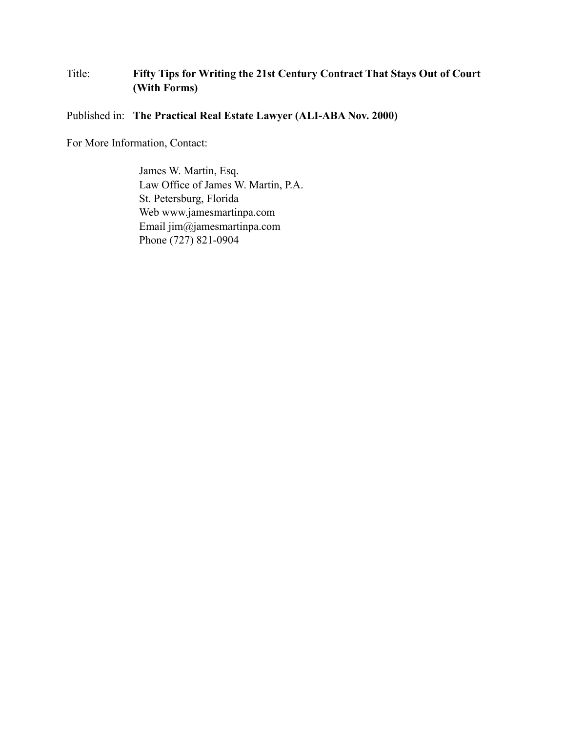## Title: **Fifty Tips for Writing the 21st Century Contract That Stays Out of Court (With Forms)**

### Published in: **The Practical Real Estate Lawyer (ALI-ABA Nov. 2000)**

For More Information, Contact:

James W. Martin, Esq. Law Office of James W. Martin, P.A. St. Petersburg, Florida Web www.jamesmartinpa.com Email jim@jamesmartinpa.com Phone (727) 821-0904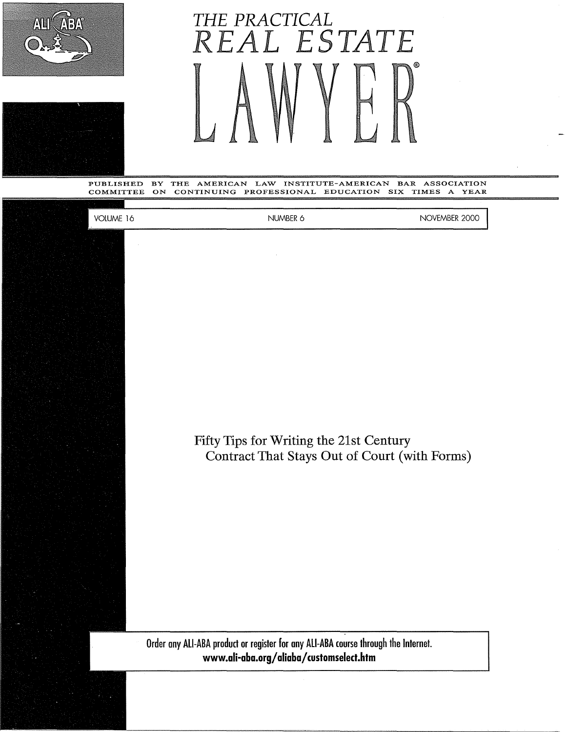



# THE PRACTICAL *R AL ESTATE*

PUBLISHED BY THE AMERICAN LAW INSTITUTE-AMERICAN BAR ASSOCIATION<br>COMMITTEE ON CONTINUING PROFESSIONAL EDUCATION SIX TIMES A YEAR CONTINUING PROFESSIONAL EDUCATION SIX

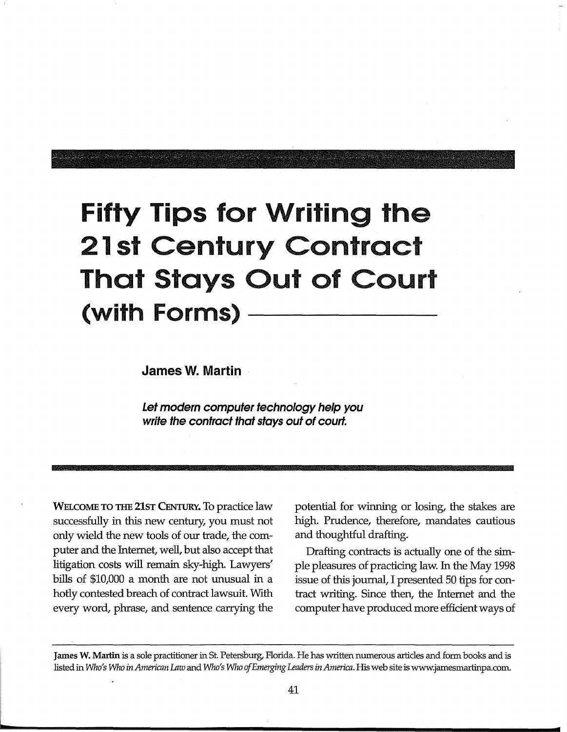# **Fifty Tips for Writing the 21st Century Contract That Stays Out of Court (with Forms)**

**James W. Martin** 

**Let modern computer technology help you write the contract that stays out of court.** 

WELCOME TO THE 21ST CENTURY. To practice law successfully in this new century, you must not only wield the new tools of our trade, the computer and the Internet, well, but also accept that litigation costs will remain sky-high. Lawyers' bills of \$10,000 a month are not unusual in a hotly contested breach of contract lawsuit. With every word, phrase, and sentence carrying the potential for winning or losing, the stakes are high. Prudence, therefore, mandates cautious and thoughtful drafting.

Drafting contracts is actually one of the simple pleasures of practicing law. In the May 1998 issue of this journal, I presented 50 tips for contract writing. Since then, the Internet and the computer have produced more efficient ways of

**James W. Martin** is a sole practitioner in St. Petersburg, Florida. He has written numerous articles and form books and is listed in *Who's Who in American Law* and *Who's Who of Emerging Leaders in America.* His web site is www.jamesmartinpa.com.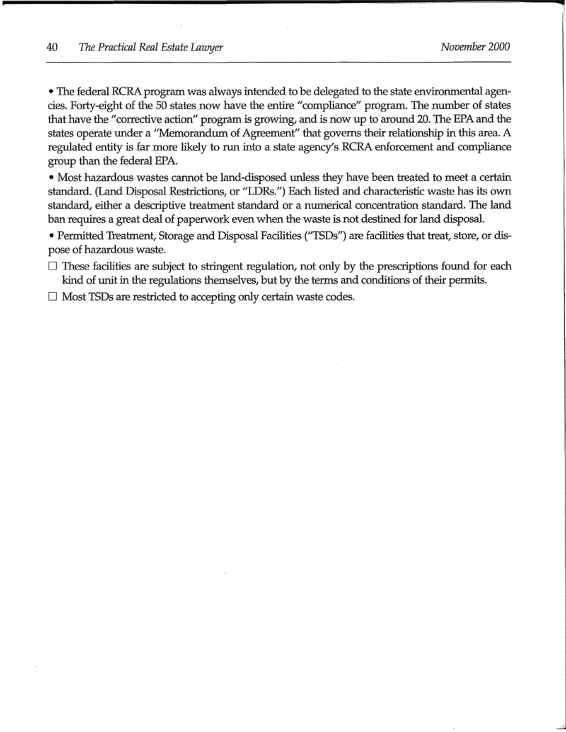• The federal RCRA program was always intended to be delegated to the state environmental agencies. Forty-eight of the 50 states now have the entire "compliance" program. The number of states that have the "corrective action" program is growing, and is now up to around 20. The EPA and the states operate under a "Memorandum of Agreement" that governs their relationship in this area. A regulated entity is far more likely to run into a state agency's RCRA enforcement and compliance group than the federal EPA.

• Most hazardous wastes cannot be land-disposed unless they have been treated to meet a certain standard. (Land Disposal Restrictions, or "LDRs.") Each listed and characteristic waste has its own standard, either a descriptive treatment standard or a numerical concentration standard. The land ban requires a great deal of paperwork even when the waste is not destined for land disposal.

• Permitted Treatment, Storage and Disposal Facilities ("TSDs") are facilities that treat, store, or dispose of hazardous waste.

 $\square$  These facilities are subject to stringent regulation, not only by the prescriptions found for each kind of unit in the regulations themselves, but by the terms and conditions of their permits.

 $\Box$  Most TSDs are restricted to accepting only certain waste codes.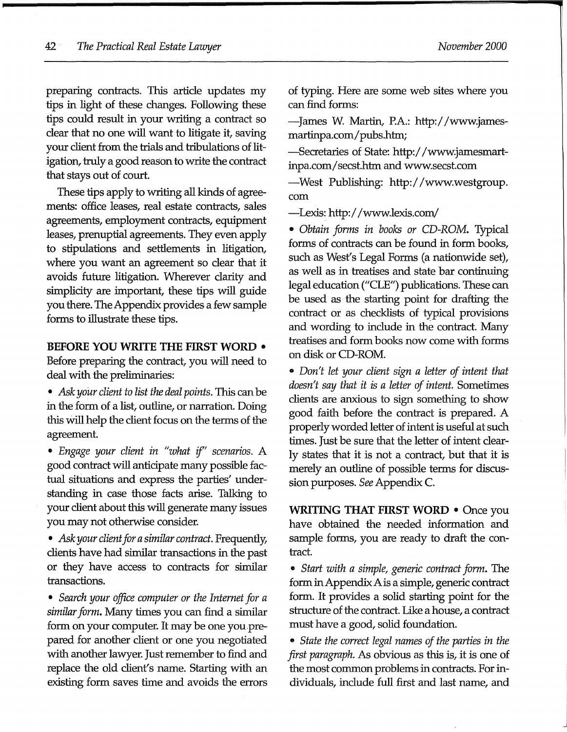preparing contracts. This article updates my tips in light of these changes. Following these tips could result in your writing a contract so clear that no one will want to litigate it, saving your client from the trials and tribulations of litigation, truly a good reason to write the contract that stays out of court.

These tips apply to writing all kinds of agreements: office leases, real estate contracts, sales agreements, employment contracts, equipment leases, prenuptial agreements. They even apply to stipulations and settlements in litigation, where you want an agreement so clear that it avoids future litigation. Wherever clarity and simplicity are important, these tips will guide you there. The Appendix provides a few sample forms to illustrate these tips.

#### **BEFORE YOU WRITE THE FIRST WORD** •

Before preparing the contract, you will need to deal with the preliminaries:

- *Ask your client to list the deal points.* This can be in the form of a list, outline, or narration. Doing this will help the client focus on the terms of the agreement.
- *Engage your client in "what if' scenarios.* A good contract will anticipate many possible factual situations and express the parties' understanding in case those facts arise. Talking to your client about this will generate many issues you may not otherwise consider.

• *Ask your client for a similar contract.* Frequently, clients have had similar transactions in the past or they have access to contracts for similar transactions.

• *Search your office computer or the Internet for a similar form.* Many times you can find a similar form on your computer. It may be one you.prepared for another client or one you negotiated with another lawyer. Just remember to find and replace the old client's name. Starting with an existing form saves time and avoids the errors

of typing. Here are some web sites where you can find forms:

-James W. Martin, P.A.: http://www.jamesmartinpa.com/pubs.htm;

-Secretaries of State: http:/ /www.jamesmartinpa.com/ secst.htm and www.secst.com

-West Publishing: http:/ /www.westgroup. com

-Lexis: http:/ /www.lexis.com/

• *Obtain forms in books or* CD-ROM. Typical forms of contracts can be found in form books, such as West's Legal Forms (a nationwide set), as well as in treatises and state bar continuing legal education ("CLE") publications. These can be used as the starting point for drafting the contract or as checklists of typical provisions and wording to include in the contract. Many treatises and form books now come with forms on disk or CD-ROM.

• *Don't let your client sign a letter of intent that doesn't say that it is a letter of intent.* Sometimes clients are anxious to sign something to show good faith before the contract is prepared. A properly worded letter of intent is useful at such times. Just be sure that the letter of intent clearly states that it is not a contract, but that it is merely an outline of possible terms for discussion purposes. *See* Appendix C.

**WRITING THAT FIRST WORD** • Once you have obtained the needed information and sample forms, you are ready to draft the contract.

• *Start with a simple, generic contract form.* The form in Appendix Ais a simple, generic contract form. It provides a solid starting point for the structure of the contract. Like a house, a contract must have a good, solid foundation.

• *State the correct legal names of the parties in the first paragraph.* As obvious as this is, it is one of the most common problems in contracts. For individuals, include full first and last name, and

J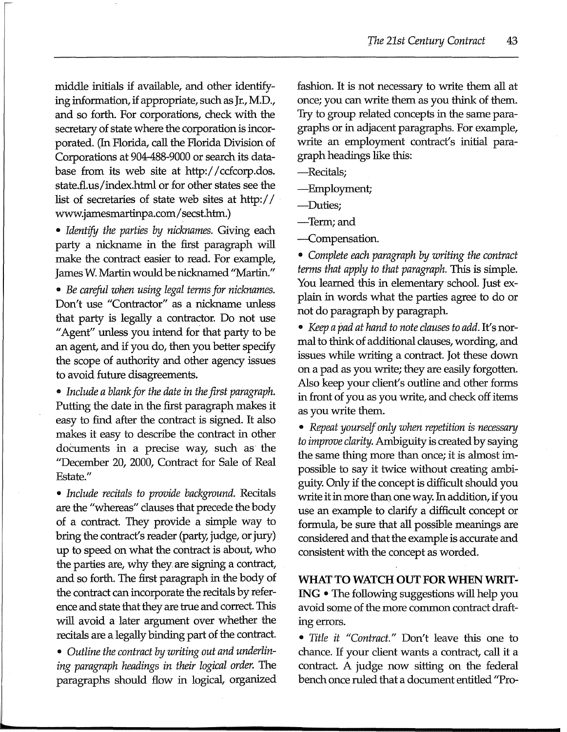middle initials if available, and other identifying information, if appropriate, such as Jr., M.D., and so forth. For corporations, check with the secretary of state where the corporation is incorporated. (In Florida, call the Florida Division of Corporations at 904-488-9000 or search its database from its web site at http:/ /ccfcorp.dos. state.fl.us/index.html or for other states see the list of secretaries of state web sites at http:// www.jamesmartinpa.com/ secst.htm.)

• *Identify the parties by nicknames.* Giving each party a nickname in the first paragraph will make the contract easier to read. For example, James W. Martin would be nicknamed ''Martin."

• Be careful when using legal terms for nicknames. Don't use "Contractor" as a nickname unless that party is legally a contractor. Do not use "Agent" unless you intend for that party to be an agent, and if you do, then you better specify the scope of authority and other agency issues to avoid future disagreements.

• *Include a blank for the date in fhe first paragraph.*  Putting the date in the first paragraph makes it easy to find after the contract is signed. It aJso makes it easy to describe the contract in other documents in a precise way, such as the "December 20, 2000, Contract for Sale of Real Estate."

• *Include recitals to provide background.* RecitaJs are the "whereas" clauses that precede the body of a contract. They provide a simple way to bring the contract's reader (party, judge, or jury) up to speed on what the contract is about, who the parties are, why they are signing a contract, and so forth. The first paragraph in the body of the contract can incorporate the recitals by reference and state that they are true and correct. This will avoid a later argument over whether the recitals are a legally binding part of the contract.

• *Outline the contract by writing out and underlining paragraph headings in their logical order.* The paragraphs should flow in logical, organized

fashion. It is not necessary to write them all at once; you can write them as you think of them. 'fry to group related concepts in the same paragraphs or in adjacent paragraphs. For example, write an employment contract's initial paragraph headings like this:

-RecitaJs;

-Employment;

-Duties;

-Term;and

-Compensation.

• Complete each paragraph by writing the contract *terms that apply to that paragraph.* This is simple. You learned this in elementary school. Just explain in words what the parties agree to do or not do paragraph by paragraph.

• *Keep a pad at hand to note clauses to add.* It's normal to think of additional clauses, wording, and issues while writing a contract. Jot these down on a pad as you write; they are easily forgotten. Also keep your client's outline and other forms in front of you as you write, and check off items as you write them.

• *Repeat yourself only when repetition is necessary to improve clarity.* Ambiguity is created by saying the same thing more than once; it is almost impossible to say it twice without creating ambiguity. Only if the concept is difficult should you write it in more than one way. In addition, if you use an example to clarify a difficult concept or formula, be sure that all possible meanings are considered and that the example is accurate and consistent with the concept as worded.

#### WHAT TO WATCH OUT FOR WHEN WRIT-

**ING** • The following suggestions will help you avoid some of the more common contract draftmg errors.

• *Title it "Contract."* Don't leave this one to chance. If your client wants a contract, call it a contract. A judge now sitting on the federal bench once ruled that a document entitled "Pro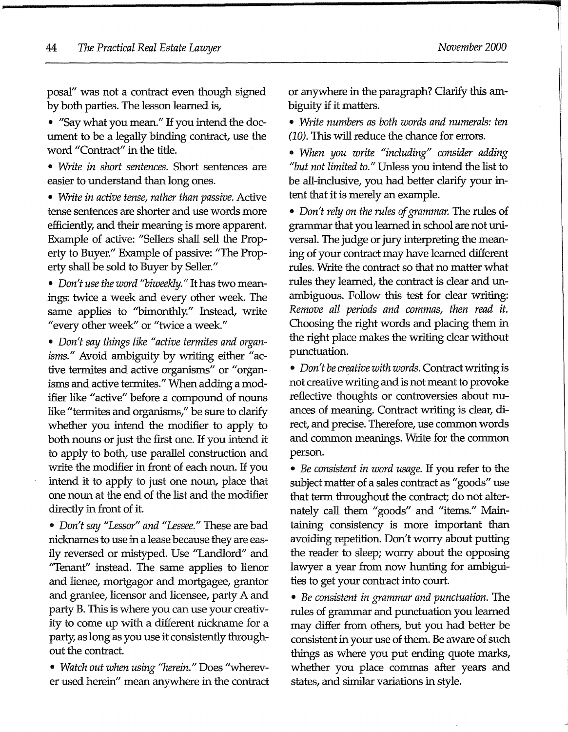posal" was not a contract even though signed by both parties. The lesson learned is,

• "Say what you mean." If you intend the document to be a legally binding contract, use the word "Contract" in the title.

• *Write in short sentences.* Short sentences are easier to understand than long ones.

• *Write in active tense, rather than passive.* Active tense sentences are shorter and use words more efficiently, and their meaning is more apparent. Example of active: "Sellers shall sell the Property to Buyer." Example of passive: "The Property shall be sold to Buyer by Seller."

• *Don't use the word "biweekly."* It has two meanings: twice a week and every other week The same applies to "bimonthly." Instead, write "every other week" or "twice a week."

• *Don't say things like "active termites and organisms."* Avoid ambiguity by writing either "active termites and active organisms" or "organisms and active termites." When adding a modifier like "active" before a compound of nouns like "termites and organisms," be sure to clarify whether you intend the modifier to apply to both nouns or just the first one. If you intend it to apply to both, use parallel construction and write the modifier in front of each noun. If you intend it to apply to just one noun, place that one noun at the end of the list and the modifier directly in front of it.

• *Don't say "Lessor" and "Lessee."* These are bad nicknames *to* use in a lease because they are easily reversed or mistyped. Use "Landlord" and "Tenant" instead. The same applies *to* lienor and lienee, mortgagor and mortgagee, grantor and grantee, licensor and licensee, party A and party B. This is where you can use your creativity *to* come up with a different nickname for a party, as long as you use it consistently throughout the contract.

• *Watch out when using "herein."* Does "wherever used herein'' mean anywhere in the contract or anywhere in the paragraph? Clarify this ambiguity if it matters.

• *Write numbers as both words and numerals: ten*  (10). This will reduce the chance for errors.

• *When you write "including" consider adding "but not limited to."* Unless you intend the list *to*  be all-inclusive, you had better clarify your intent that it is merely an example.

• *Don't rely on the rules of grammar.* The rules of grammar that you learned in school are not universal. The judge or jury interpreting the meaning of your contract may have learned different rules. Write the contract so that no matter what rules they learned, the contract is clear and unambiguous. Follow this test for clear writing: *Remove all periods and commas, then read it.*  Choosing the right words and placing them in the right place makes the writing clear without punctuation.

• *Don't be creative with words.* Contract writing is not creative writing and is not meant *to* provoke reflective thoughts or controversies about nuances of meaning. Contract writing is clear, direct, and precise. Therefore, use common words and common meanings. Write for the common person.

• *Be consistent in word usage.* If you refer *to* the subject matter of a sales contract as "goods" use that term throughout the contract; do not alternately call them "goods" and "items." Maintaining consistency is more important than avoiding repetition. Don't worry about putting the reader *to* sleep; worry about the opposing lawyer a year from now hunting for ambiguities *to* get your contract into court.

• *Be consistent in grammar and punctuation.* The rules of grammar and punctuation you learned may differ from others, but you had better be consistent in your use of them. Be aware of such things as where you put ending quote marks, whether you place commas after years and states, and similar variations in style.

l

I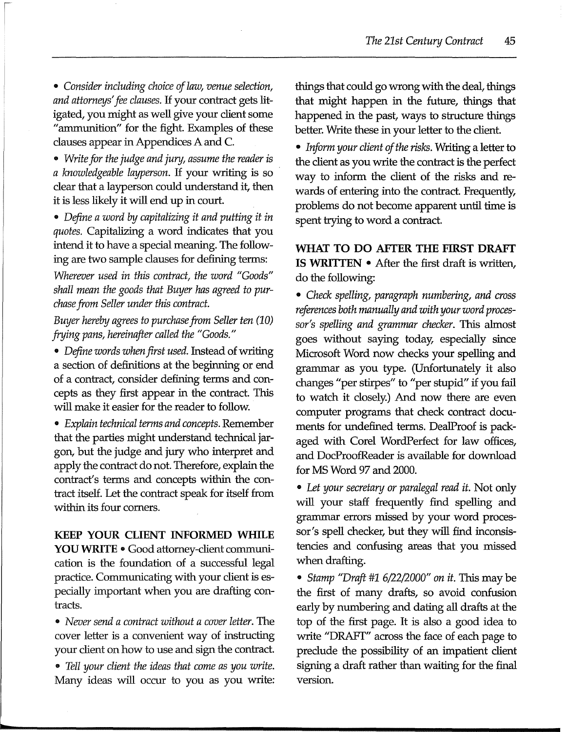• *Consider including choice of law, venue selection, and attorneys' fee clauses.* If your contract gets litigated, you might as well give your client some "ammunition" for the fight. Examples of these clauses appear in Appendices A and C.

• *Write for the judge and jury, assume the reader is a knowledgeable layperson*. If your writing is so clear that a layperson could understand it, then it is less likely it will end up in court.

• Define a word by capitalizing it and putting it in *quotes.* Capitalizing a word indicates that you intend it to have a special meaning. The following are two sample clauses for defining terms:

*Wherever used in this contract, the word "Goods" shall mean the goods that Buyer has agreed to purchase from Seller under this contract.* 

*Buyer hereby agrees to purchase from Seller ten (10) frying pans, hereinafter called the "Goods."* 

• *Define words when first used.* Instead of writing a section of definitions at the beginning or end of a contract, consider defining terms and concepts as they first appear in the contract. This will make it easier for the reader to follow.

• *Explain technical terms and concepts.* Remember that the parties might understand technical jargon, but the judge and jury who interpret and apply the contract do not. Therefore, explain the contract's terms and concepts within the contract itself. Let the contract speak for itself from within its four comers.

**KEEP YOUR CLIENT INFORMED WHILE YOU WRITE** • Good attorney-client communication is the foundation of a successful legal practice. Communicating with your client is especially important when you are drafting contracts.

• *Never send a contract without a cover letter.* The cover letter is a convenient way of instructing your client on how to use and sign the contract.

• *Tell your client the ideas that come as you write.*  Many ideas will occur to you as you write: things that could go wrong with the deal, things that might happen in the future, things that happened in the past, ways to structure things better. Write these in your letter to the client.

• *Inform your client of the risks.* Writing a letter to the client as you write the contract is the perfect way to inform the client of the risks and rewards of entering into the contract. Frequently, problems do not become apparent until time is spent trying to word a contract.

**WHAT TO DO AFfER THE FIRST DRAFf IS WRIITEN** • After the first draft is written, do the following:

• *Check spelling, paragraph numbering, and cross references both manually and with your word processor's spelling and grammar checker.* This almost goes without saying today, especially since Microsoft Word now checks your spelling and grammar as you type. (Unfortunately it also changes "per stirpes" to "per stupid" if you fail to watch it closely.) And now there are even computer programs that check contract documents for undefined terms. DealProof is packaged with Corel WordPerfect for law offices, and DocProofReader is available for download for MS Word 97 and 2000.

• *Let your secretary or paralegal read it.* Not only will your staff frequently find spelling and grammar errors missed by your word processor's spell checker, but they will find inconsistencies and confusing areas that you missed when drafting.

• *Stamp "Draft* #1 6/22/2000" *on it.* This may be the first of many drafts, so avoid confusion early by numbering and dating all drafts at the top of the first page. It is also a good idea to write "DRAFf" across the face of each page to preclude the possibility of an impatient client signing a draft rather than waiting for the final version.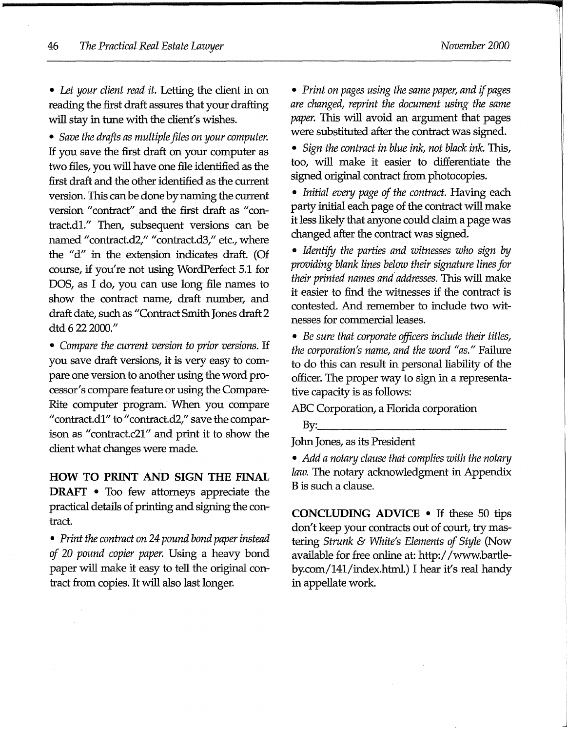• *Let your client read it.* Letting the client in on reading the first draft assures that your drafting will stay in tune with the client's wishes.

• *Save* fhe *drafts as multiple files on your computer.*  If you save the first draft on your computer as two files, you will have one file identified as the first draft and the other identified as the current version. This can be done by naming the current version "contract" and the first draft as "contract.dl." Then, subsequent versions can be named "contract.d2," "contract.d3," etc., where the "d" in the extension indicates draft. (Of course, if you're not using WordPerfect 5.1 for DOS, as I do, you can use long file names to show the contract name, draft number, and draft date, such as "Contract Smith Jones draft 2 dtd 6 22 2000."

• *Compare the current version to prior versions.* If you save draft versions, it is very easy to compare one version to another using the word processor's compare feature or using the Compare-Rite computer program. When you compare "contract.d1" to "contract.d2," save the comparison as "contract.c21" and print it to show the client what changes were made.

**HOW TO PRINT AND SIGN THE FINAL DRAFT** • Too few attorneys appreciate the practical details of printing and signing the contract.

• *Print the contract on 24 pound bond paper instead of* 20 *pound copier paper.* Using a heavy bond paper will make it easy to tell the original contract from copies. It will also last longer.

• *Print on pages using the same paper, and if pages are changed, reprint the document using the same paper.* This will avoid an argument that pages were substituted after the contract was signed.

• *Sign the contract in blue ink, not black ink.* This, too, will make it easier to differentiate the signed original contract from photocopies.

• *Initial every page of the contract.* Having each party initial each page of the contract will make it less likely that anyone could claim a page was changed after the contract was signed.

• *Identify the parties and witnesses who sign by providing blank lines below their signature lines for their printed names and addresses.* This will make it easier to find the witnesses if the contract is contested. And remember to include two witnesses for commercial leases.

• *Be sure that corporate officers include their titles,*  fhe *corporation's name, and the word "as."* Failure to do this can result in personal liability of the officer. The proper way to sign in a representative capacity is as follows:

ABC Corporation, a Florida corporation

 $\rm By:\_\_\_\_\_\$ 

John Jones, as its President

• *Add a notary clause that complies with the notary law.* The notary acknowledgment in Appendix B is such a clause.

**CONCLUDING ADVICE** • If these 50 tips don't keep your contracts out of court, try mastering *Strunk* & *White's Elements of Style* (Now available for free online at: http:/ /www.bartleby.com/141/index.html.) I hear it's real handy in appellate work

J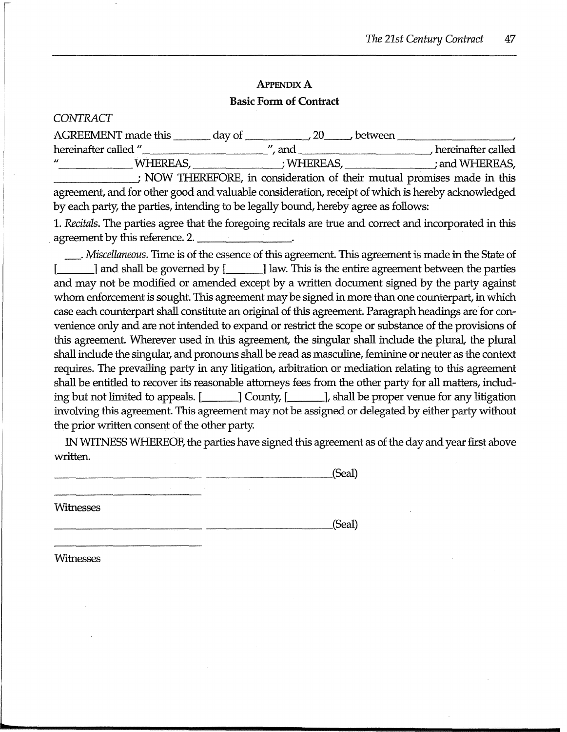# **APPENDIX A Basic Form of Contract**

#### *CONTRACT*

| <b>AGREEMENT</b> made this    | day of<br>between |                    |
|-------------------------------|-------------------|--------------------|
| hereinafter called "          | anc               | hereinafter called |
| $^{\prime\prime}$<br>WHEREAS. | WHEREAS.          | ; and WHEREAS,     |
|                               |                   |                    |

\_\_\_\_\_\_ \_,· NOW THEREFORE, in consideration of their mutual promises made in this agreement, and for other good and valuable consideration, receipt of which is hereby acknowledged by each party, the parties, intending to be legally bound, hereby agree as follows:

1. *Recitals.* The parties agree that the foregoing recitals are true and correct and incorporated in this agreement by this reference. 2.

\_ . *Miscellaneous.* Trme is of the essence of this agreement. This agreement is made in the State of  $[$   $]$  and shall be governed by  $[$   $]$  law. This is the entire agreement between the parties and may not be modified or amended except by a written document signed by the party against whom enforcement is sought. This agreement may be signed in more than one counterpart, in which case each counterpart shall constitute an original of this agreement. Paragraph headings are for convenience only and are not intended to expand or restrict the scope or substance of the provisions of this agreement. Wherever used in this agreement, the singular shall include the plural, the plural shall include the singular, and pronouns shall be read as masculine, feminine or neuter as the context requires. The prevailing party in any litigation, arbitration or mediation relating to this agreement shall be entitled to recover its reasonable attorneys fees from the other party for all matters, including but not limited to appeals.  $[\_]$  County,  $[\_]$ , shall be proper venue for any litigation involving this agreement. This agreement may not be assigned or delegated by either party without the prior written consent of the other party.

IN WITNESS WHEREOF, the parties have signed this agreement as of the day and year first above written.

\_\_\_\_\_\_\_\_\_\_\_\_\_\_\_\_\_ (Seal)

Witnesses

\_\_\_\_\_\_\_\_\_\_\_\_\_\_\_\_\_ (Seal)

Witnesses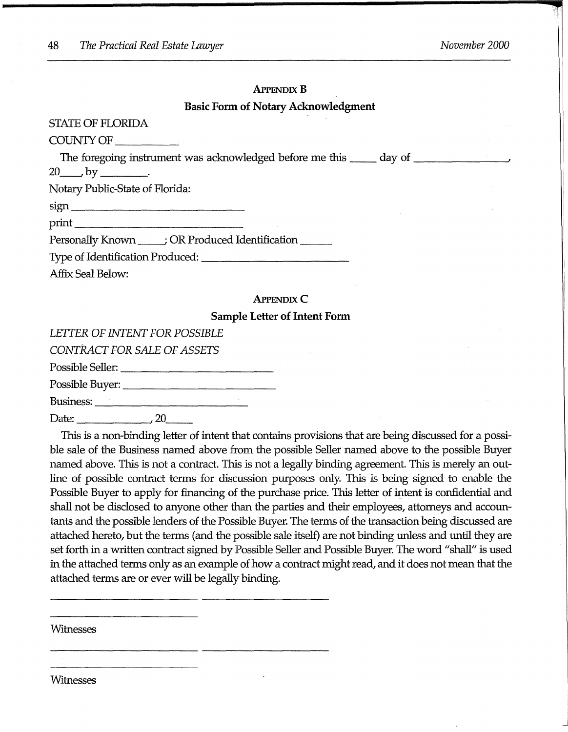J

#### **APPENDIX B**

#### **Basic Form of Notary Acknowledgment**

| STATE OF FLORIDA                                                    |  |
|---------------------------------------------------------------------|--|
| $\text{COUNTY OF} \_\_\_\_$                                         |  |
| $20 \qquad \qquad$ by _________.<br>Notary Public-State of Florida: |  |
|                                                                     |  |
| Personally Known _____; OR Produced Identification ______           |  |
|                                                                     |  |
| <b>Affix Seal Below:</b>                                            |  |
| <b>APPENDIX C</b>                                                   |  |
| <b>Sample Letter of Intent Form</b>                                 |  |

# *LETTER OF INTENT FOR POSSIBLE*

*CONTRACT FOR SALE OF ASSETS* 

Possible Seller: \_\_\_\_\_\_\_\_\_\_\_ \_

Possible Buyer: \_\_\_\_\_\_\_\_\_\_\_ \_

Business: ------------ Date: \_\_\_\_\_ \_\_\_, 20 \_\_

This is a non-binding letter of intent that contains provisions that are being discussed for a possible sale of the Business named above from the possible Seller named above to the possible Buyer named above. This is not a contract. This is not a legally binding agreement. This is merely an outline of possible contract terms for discussion purposes only. This is being signed to enable the Possible Buyer to apply for financing of the purchase price. This letter of intent is confidential and shall not be disclosed to anyone other than the parties and their employees, attorneys and accountants and the possible lenders of the Possible Buyer. The terms of the transaction being discussed are attached hereto, but the terms (and the possible sale itself) are not binding unless and until they are set forth in a written contract signed by Possible Seller and Possible Buyer. The word "shall" is used in the attached terms only as an example of how a contract might read, and it does not mean that the attached terms are or ever will be legally binding.

Witnesses

Witnesses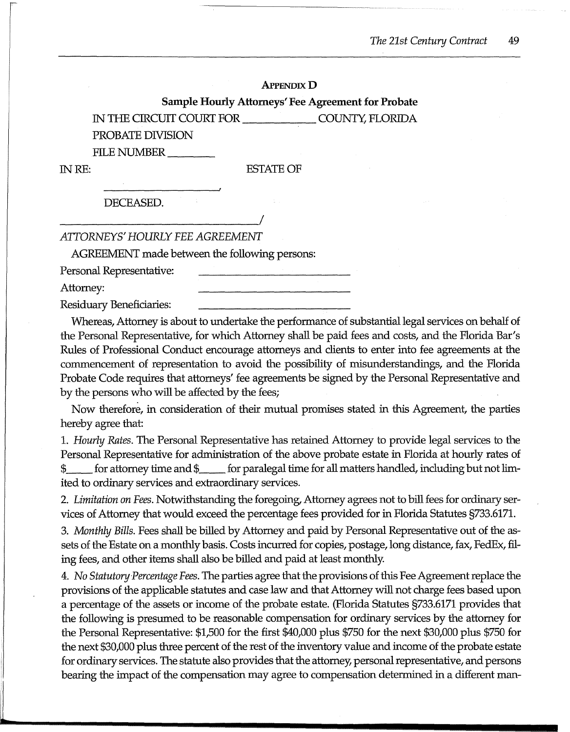#### **APPENDIX D**

#### **Sample Hourly Attorneys' Fee Agreement for Probate**

IN THE CIRCUIT COURT FOR \_\_\_\_\_ COUNTY, FLORIDA

PROBATE DIVISION

FILE NUMBER

#### INRE: ESTA1EOF

DECEASED.

*ATTORNEYS' HOURLY FEE AGREEMENT* 

AGREEMENT made between the following persons:

Personal Representative:

Attorney:

Residuary Beneficiaries:

Whereas, Attorney is about to undertake the performance of substantial legal services on behalf of the Personal Representative, for which Attorney shall be paid fees and costs, and the Florida Bar's Rules of Professional Conduct encourage attorneys and clients to enter into fee agreements at the commencement of representation to avoid the possibility of misunderstandings, and the Florida Probate Code requires that attorneys' fee agreements be signed by the Personal Representative and by the persons who will be affected by the fees;

Now therefore, in consideration of their mutual promises stated in this Agreement, the parties hereby agree that:

1. *Hourly Rates.* The Personal Representative has retained Attorney to provide legal services to the Personal Representative for administration of the above probate estate in Florida at hourly rates of for attorney time and  $\frac{1}{2}$  for paralegal time for all matters handled, including but not limited to ordinary services and extraordinary services.

2. *Limitation on Fees.* Notwithstanding the foregoing, Attorney agrees not to bill fees for ordinary services of Attorney that would exceed the percentage fees provided for in Florida Statutes §733.6171.

3. *Monthly Bills.* Fees shall be billed by Attorney and paid by Personal Representative out of the assets of the Estate on a monthly basis. Costs incurred for copies, postage, long distance, fax, FedEx, filing fees, and other items shall also be billed and paid at least monthly.

4. *No Statutory.Percentage Fees.* The parties agree that the provisions of this Fee Agreement replace the provisions of the applicable statutes and case law and that Attorney will not charge fees based upon a percentage of the assets or income of the probate estate. (Florida Statutes §733.6171 provides that the following is presumed to be reasonable compensation for ordinary services by the attorney for the Personal Representative: \$1,500 for the first \$40,000 plus \$750 for the next \$30,000 plus \$750 for the next \$30,000 plus three percent of the rest of the inventory value and income of the probate estate for ordinary services. The statute also provides that the attorney, personal representative, and persons bearing the impact of the compensation may agree to compensation determined in a different man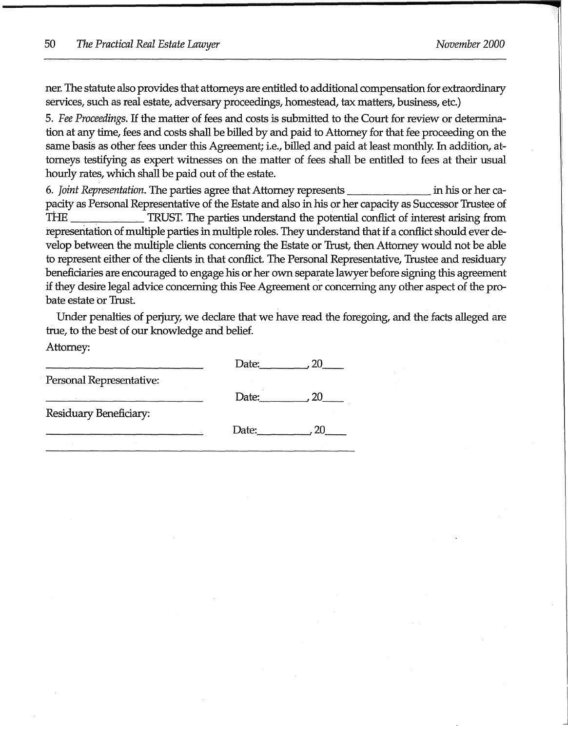ner. The statute also provides that attorneys are entitled to additional compensation for extraordinary services, such as real estate, adversary proceedings, homestead, tax matters, business, etc.)

5. *Fee Proceedings.* If the matter of fees and costs is submitted to the Court for review or determination at any time, fees and costs shall be billed by and paid to Attorney for that fee proceeding on the same basis as other fees under this Agreement; i.e., billed and paid at least monthly. In addition, attorneys testifying as expert witnesses on the matter of fees shall be entitled to fees at their usual hourly rates, which shall be paid out of the estate.

6. *Joint Representation.* The parties agree that Attorney represents \_\_\_\_\_\_ in his or her capacity as Personal Representative of the Estate and also in his or her capacity as Successor Trustee of THE \_\_\_\_\_ TRUST. The parties understand the potential conflict of interest arising from representation of multiple parties in multiple roles. They understand that if a conflict should ever develop between the multiple clients concerning the Estate or Trust, then Attorney would not be able to represent either of the clients in that conflict. The Personal Representative, Trustee and residuary beneficiaries are encouraged to engage his or her own separate lawyer before signing this agreement if they desire legal advice concerning this Fee Agreement or concerning any other aspect of the probate estate or Trust.

Under penalties of perjury, we declare that we have read the foregoing, and the facts alleged are true, to the best of our knowledge and belief.

Attorney:

|                          | Date: |     |
|--------------------------|-------|-----|
| Personal Representative: |       |     |
|                          | Date: |     |
| Residuary Beneficiary:   |       |     |
|                          | Date: | 20. |
|                          |       |     |